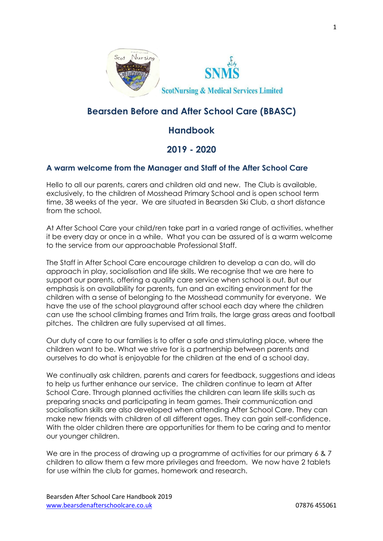

# **Bearsden Before and After School Care (BBASC)**

# **Handbook**

# **2019 - 2020**

#### **A warm welcome from the Manager and Staff of the After School Care**

Hello to all our parents, carers and children old and new. The Club is available, exclusively, to the children of Mosshead Primary School and is open school term time, 38 weeks of the year. We are situated in Bearsden Ski Club, a short distance from the school.

At After School Care your child/ren take part in a varied range of activities, whether it be every day or once in a while. What you can be assured of is a warm welcome to the service from our approachable Professional Staff.

The Staff in After School Care encourage children to develop a can do, will do approach in play, socialisation and life skills. We recognise that we are here to support our parents, offering a quality care service when school is out. But our emphasis is on availability for parents, fun and an exciting environment for the children with a sense of belonging to the Mosshead community for everyone. We have the use of the school playground after school each day where the children can use the school climbing frames and Trim trails, the large grass areas and football pitches. The children are fully supervised at all times.

Our duty of care to our families is to offer a safe and stimulating place, where the children want to be. What we strive for is a partnership between parents and ourselves to do what is enjoyable for the children at the end of a school day.

We continually ask children, parents and carers for feedback, suggestions and ideas to help us further enhance our service. The children continue to learn at After School Care. Through planned activities the children can learn life skills such as preparing snacks and participating in team games. Their communication and socialisation skills are also developed when attending After School Care. They can make new friends with children of all different ages. They can gain self-confidence. With the older children there are opportunities for them to be caring and to mentor our younger children.

We are in the process of drawing up a programme of activities for our primary 6 & 7 children to allow them a few more privileges and freedom. We now have 2 tablets for use within the club for games, homework and research.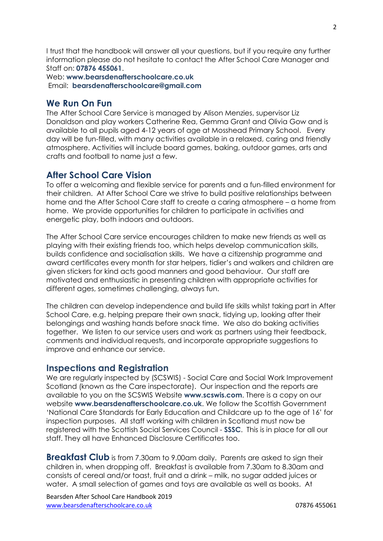I trust that the handbook will answer all your questions, but if you require any further information please do not hesitate to contact the After School Care Manager and Staff on: **07876 455061**.

Web: **www.bearsdenafterschoolcare.co.uk** Email: **bearsdenafterschoolcare@gmail.com**

#### **We Run On Fun**

The After School Care Service is managed by Alison Menzies, supervisor Liz Donaldson and play workers Catherine Rea, Gemma Grant and Olivia Gow and is available to all pupils aged 4-12 years of age at Mosshead Primary School. Every day will be fun-filled, with many activities available in a relaxed, caring and friendly atmosphere. Activities will include board games, baking, outdoor games, arts and crafts and football to name just a few.

### **After School Care Vision**

To offer a welcoming and flexible service for parents and a fun-filled environment for their children. At After School Care we strive to build positive relationships between home and the After School Care staff to create a caring atmosphere – a home from home. We provide opportunities for children to participate in activities and energetic play, both indoors and outdoors.

The After School Care service encourages children to make new friends as well as playing with their existing friends too, which helps develop communication skills, builds confidence and socialisation skills. We have a citizenship programme and award certificates every month for star helpers, tidier's and walkers and children are given stickers for kind acts good manners and good behaviour. Our staff are motivated and enthusiastic in presenting children with appropriate activities for different ages, sometimes challenging, always fun.

The children can develop independence and build life skills whilst taking part in After School Care, e.g. helping prepare their own snack, tidying up, looking after their belongings and washing hands before snack time. We also do baking activities together. We listen to our service users and work as partners using their feedback, comments and individual requests, and incorporate appropriate suggestions to improve and enhance our service.

#### **Inspections and Registration**

We are regularly inspected by (SCSWIS) - Social Care and Social Work Improvement Scotland (known as the Care inspectorate). Our inspection and the reports are available to you on the SCSWIS Website **www.scswis.com**. There is a copy on our website **www.bearsdenafterschoolcare.co.uk**. We follow the Scottish Government 'National Care Standards for Early Education and Childcare up to the age of 16' for inspection purposes. All staff working with children in Scotland must now be registered with the Scottish Social Services Council - **SSSC**. This is in place for all our staff. They all have Enhanced Disclosure Certificates too.

**Breakfast Club** is from 7.30am to 9.00am daily. Parents are asked to sign their children in, when dropping off. Breakfast is available from 7.30am to 8.30am and consists of cereal and/or toast, fruit and a drink – milk, no sugar added juices or water. A small selection of games and toys are available as well as books. At

Bearsden After School Care Handbook 2019 [www.bearsdenafterschoolcare.co.uk](http://www.bearsdenafterschoolcare.co.uk/) 07876 455061

 $\mathcal{L}$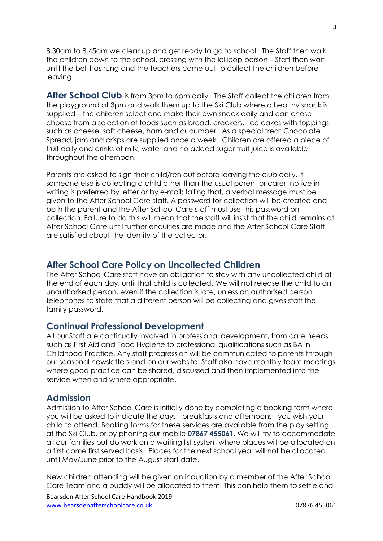8.30am to 8.45am we clear up and get ready to go to school. The Staff then walk the children down to the school, crossing with the lollipop person – Staff then wait until the bell has rung and the teachers come out to collect the children before leaving.

**After School Club** is from 3pm to 6pm daily. The Staff collect the children from the playground at 3pm and walk them up to the Ski Club where a healthy snack is supplied – the children select and make their own snack daily and can chose choose from a selection of foods such as bread, crackers, rice cakes with toppings such as cheese, soft cheese, ham and cucumber. As a special treat Chocolate Spread, jam and crisps are supplied once a week. Children are offered a piece of fruit daily and drinks of milk, water and no added sugar fruit juice is available throughout the afternoon.

Parents are asked to sign their child/ren out before leaving the club daily. If someone else is collecting a child other than the usual parent or carer, notice in writing is preferred by letter or by e-mail; failing that, a verbal message must be given to the After School Care staff. A password for collection will be created and both the parent and the After School Care staff must use this password on collection. Failure to do this will mean that the staff will insist that the child remains at After School Care until further enquiries are made and the After School Care Staff are satisfied about the identity of the collector.

# **After School Care Policy on Uncollected Children**

The After School Care staff have an obligation to stay with any uncollected child at the end of each day, until that child is collected. We will not release the child to an unauthorised person, even if the collection is late, unless an authorised person telephones to state that a different person will be collecting and gives staff the family password.

#### **Continual Professional Development**

All our Staff are continually involved in professional development, from care needs such as First Aid and Food Hygiene to professional qualifications such as BA in Childhood Practice. Any staff progression will be communicated to parents through our seasonal newsletters and on our website. Staff also have monthly team meetings where good practice can be shared, discussed and then implemented into the service when and where appropriate.

#### **Admission**

Admission to After School Care is initially done by completing a booking form where you will be asked to indicate the days - breakfasts and afternoons - you wish your child to attend. Booking forms for these services are available from the play setting at the Ski Club, or by phoning our mobile **07867 455061**. We will try to accommodate all our families but do work on a waiting list system where places will be allocated on a first come first served basis. Places for the next school year will not be allocated until May/June prior to the August start date.

New children attending will be given an induction by a member of the After School Care Team and a buddy will be allocated to them. This can help them to settle and

Bearsden After School Care Handbook 2019 [www.bearsdenafterschoolcare.co.uk](http://www.bearsdenafterschoolcare.co.uk/) 07876 455061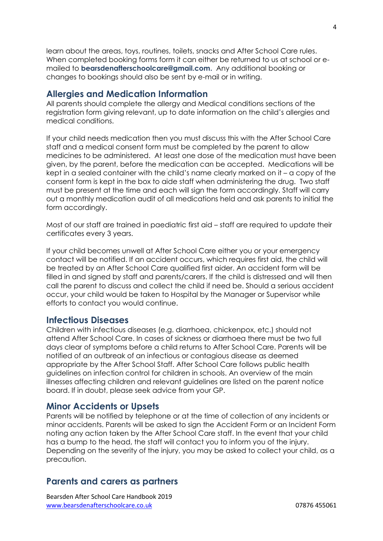learn about the areas, toys, routines, toilets, snacks and After School Care rules. When completed booking forms form it can either be returned to us at school or emailed to **bearsdenafterschoolcare@gmail.com.** Any additional booking or changes to bookings should also be sent by e-mail or in writing.

#### **Allergies and Medication Information**

All parents should complete the allergy and Medical conditions sections of the registration form giving relevant, up to date information on the child's allergies and medical conditions.

If your child needs medication then you must discuss this with the After School Care staff and a medical consent form must be completed by the parent to allow medicines to be administered. At least one dose of the medication must have been given, by the parent, before the medication can be accepted. Medications will be kept in a sealed container with the child's name clearly marked on it – a copy of the consent form is kept in the box to aide staff when administering the drug. Two staff must be present at the time and each will sign the form accordingly. Staff will carry out a monthly medication audit of all medications held and ask parents to initial the form accordingly.

Most of our staff are trained in paediatric first aid – staff are required to update their certificates every 3 years.

If your child becomes unwell at After School Care either you or your emergency contact will be notified. If an accident occurs, which requires first aid, the child will be treated by an After School Care qualified first aider. An accident form will be filled in and signed by staff and parents/carers. If the child is distressed and will then call the parent to discuss and collect the child if need be. Should a serious accident occur, your child would be taken to Hospital by the Manager or Supervisor while efforts to contact you would continue.

#### **Infectious Diseases**

Children with infectious diseases (e.g. diarrhoea, chickenpox, etc.) should not attend After School Care. In cases of sickness or diarrhoea there must be two full days clear of symptoms before a child returns to After School Care. Parents will be notified of an outbreak of an infectious or contagious disease as deemed appropriate by the After School Staff. After School Care follows public health guidelines on infection control for children in schools. An overview of the main illnesses affecting children and relevant guidelines are listed on the parent notice board. If in doubt, please seek advice from your GP.

#### **Minor Accidents or Upsets**

Parents will be notified by telephone or at the time of collection of any incidents or minor accidents. Parents will be asked to sign the Accident Form or an Incident Form noting any action taken by the After School Care staff. In the event that your child has a bump to the head, the staff will contact you to inform you of the injury. Depending on the severity of the injury, you may be asked to collect your child, as a precaution.

# **Parents and carers as partners**

Bearsden After School Care Handbook 2019 [www.bearsdenafterschoolcare.co.uk](http://www.bearsdenafterschoolcare.co.uk/) 07876 455061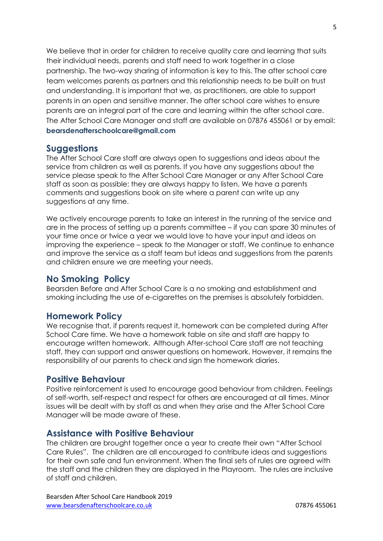We believe that in order for children to receive quality care and learning that suits their individual needs, parents and staff need to work together in a close partnership. The two-way sharing of information is key to this. The after school care team welcomes parents as partners and this relationship needs to be built on trust and understanding. It is important that we, as practitioners, are able to support parents in an open and sensitive manner. The after school care wishes to ensure parents are an integral part of the care and learning within the after school care. The After School Care Manager and staff are available on 07876 455061 or by email: **bearsdenafterschoolcare@gmail.com**

#### **Suggestions**

The After School Care staff are always open to suggestions and ideas about the service from children as well as parents. If you have any suggestions about the service please speak to the After School Care Manager or any After School Care staff as soon as possible: they are always happy to listen. We have a parents comments and suggestions book on site where a parent can write up any suggestions at any time.

We actively encourage parents to take an interest in the running of the service and are in the process of setting up a parents committee – if you can spare 30 minutes of your time once or twice a year we would love to have your input and ideas on improving the experience – speak to the Manager or staff. We continue to enhance and improve the service as a staff team but ideas and suggestions from the parents and children ensure we are meeting your needs.

### **No Smoking Policy**

Bearsden Before and After School Care is a no smoking and establishment and smoking including the use of e-cigarettes on the premises is absolutely forbidden.

### **Homework Policy**

We recognise that, if parents request it, homework can be completed during After School Care time. We have a homework table on site and staff are happy to encourage written homework. Although After-school Care staff are not teaching staff, they can support and answer questions on homework. However, it remains the responsibility of our parents to check and sign the homework diaries.

### **Positive Behaviour**

Positive reinforcement is used to encourage good behaviour from children. Feelings of self-worth, self-respect and respect for others are encouraged at all times. Minor issues will be dealt with by staff as and when they arise and the After School Care Manager will be made aware of these.

#### **Assistance with Positive Behaviour**

The children are brought together once a year to create their own "After School Care Rules". The children are all encouraged to contribute ideas and suggestions for their own safe and fun environment. When the final sets of rules are agreed with the staff and the children they are displayed in the Playroom. The rules are inclusive of staff and children.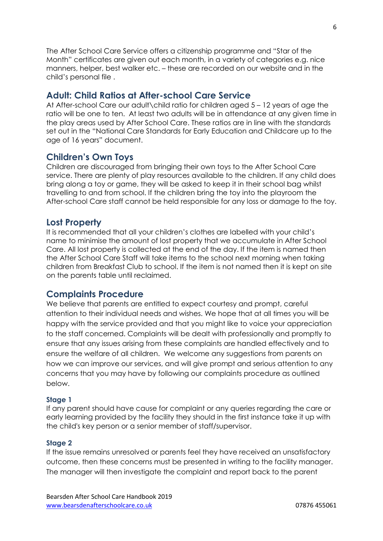The After School Care Service offers a citizenship programme and "Star of the Month" certificates are given out each month, in a variety of categories e.g. nice manners, helper, best walker etc. – these are recorded on our website and in the child's personal file .

# **Adult: Child Ratios at After-school Care Service**

At After-school Care our adult\child ratio for children aged 5 – 12 years of age the ratio will be one to ten. At least two adults will be in attendance at any given time in the play areas used by After School Care. These ratios are in line with the standards set out in the "National Care Standards for Early Education and Childcare up to the age of 16 years" document.

# **Children's Own Toys**

Children are discouraged from bringing their own toys to the After School Care service. There are plenty of play resources available to the children. If any child does bring along a toy or game, they will be asked to keep it in their school bag whilst travelling to and from school. If the children bring the toy into the playroom the After-school Care staff cannot be held responsible for any loss or damage to the toy.

# **Lost Property**

It is recommended that all your children's clothes are labelled with your child's name to minimise the amount of lost property that we accumulate in After School Care. All lost property is collected at the end of the day. If the item is named then the After School Care Staff will take items to the school next morning when taking children from Breakfast Club to school. If the item is not named then it is kept on site on the parents table until reclaimed.

### **Complaints Procedure**

We believe that parents are entitled to expect courtesy and prompt, careful attention to their individual needs and wishes. We hope that at all times you will be happy with the service provided and that you might like to voice your appreciation to the staff concerned. Complaints will be dealt with professionally and promptly to ensure that any issues arising from these complaints are handled effectively and to ensure the welfare of all children. We welcome any suggestions from parents on how we can improve our services, and will give prompt and serious attention to any concerns that you may have by following our complaints procedure as outlined below.

#### **Stage 1**

If any parent should have cause for complaint or any queries regarding the care or early learning provided by the facility they should in the first instance take it up with the child's key person or a senior member of staff/supervisor.

#### **Stage 2**

If the issue remains unresolved or parents feel they have received an unsatisfactory outcome, then these concerns must be presented in writing to the facility manager. The manager will then investigate the complaint and report back to the parent